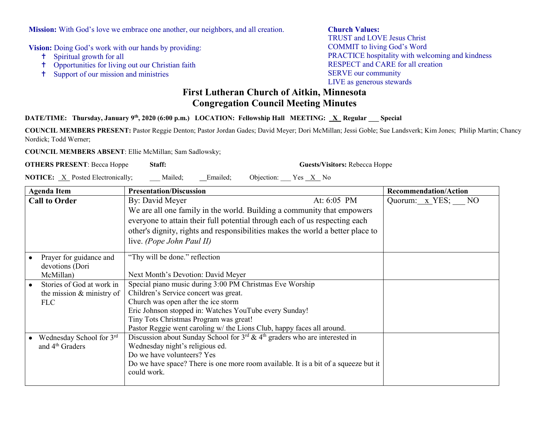**Mission:** With God's love we embrace one another, our neighbors, and all creation.

**Vision:** Doing God's work with our hands by providing:

- Spiritual growth for all
- Opportunities for living out our Christian faith
- Support of our mission and ministries

## **Church Values:**

TRUST and LOVE Jesus Christ COMMIT to living God's Word PRACTICE hospitality with welcoming and kindness RESPECT and CARE for all creation SERVE our community LIVE as generous stewards

## **First Lutheran Church of Aitkin, Minnesota Congregation Council Meeting Minutes**

## **DATE/TIME:** Thursday, January 9<sup>th</sup>, 2020 (6:00 p.m.) LOCATION: Fellowship Hall MEETING: <u>X</u> Regular Special

**COUNCIL MEMBERS PRESENT:** Pastor Reggie Denton; Pastor Jordan Gades; David Meyer; Dori McMillan; Jessi Goble; Sue Landsverk; Kim Jones; Philip Martin; Chancy Nordick; Todd Werner;

**COUNCIL MEMBERS ABSENT**: Ellie McMillan; Sam Sadlowsky;

**OTHERS PRESENT**: Becca Hoppe **Staff: Guests/Visitors:** Rebecca Hoppe

**NOTICE:** X Posted Electronically; Mailed; Emailed; Objection: Yes X No

| <b>Agenda Item</b>          | <b>Presentation/Discussion</b>                                                              | <b>Recommendation/Action</b> |
|-----------------------------|---------------------------------------------------------------------------------------------|------------------------------|
| <b>Call to Order</b>        | By: David Meyer<br>At: $6:05$ PM                                                            | Quorum: x YES; NO            |
|                             | We are all one family in the world. Building a community that empowers                      |                              |
|                             | everyone to attain their full potential through each of us respecting each                  |                              |
|                             | other's dignity, rights and responsibilities makes the world a better place to              |                              |
|                             | live. (Pope John Paul II)                                                                   |                              |
| Prayer for guidance and     | "Thy will be done." reflection                                                              |                              |
| devotions (Dori             |                                                                                             |                              |
| McMillan)                   | Next Month's Devotion: David Meyer                                                          |                              |
| Stories of God at work in   | Special piano music during 3:00 PM Christmas Eve Worship                                    |                              |
| the mission & ministry of   | Children's Service concert was great.                                                       |                              |
| <b>FLC</b>                  | Church was open after the ice storm                                                         |                              |
|                             | Eric Johnson stopped in: Watches YouTube every Sunday!                                      |                              |
|                             | Tiny Tots Christmas Program was great!                                                      |                              |
|                             | Pastor Reggie went caroling w/ the Lions Club, happy faces all around.                      |                              |
| Wednesday School for 3rd    | Discussion about Sunday School for $3^{rd}$ & 4 <sup>th</sup> graders who are interested in |                              |
| and 4 <sup>th</sup> Graders | Wednesday night's religious ed.                                                             |                              |
|                             | Do we have volunteers? Yes                                                                  |                              |
|                             | Do we have space? There is one more room available. It is a bit of a squeeze but it         |                              |
|                             | could work.                                                                                 |                              |
|                             |                                                                                             |                              |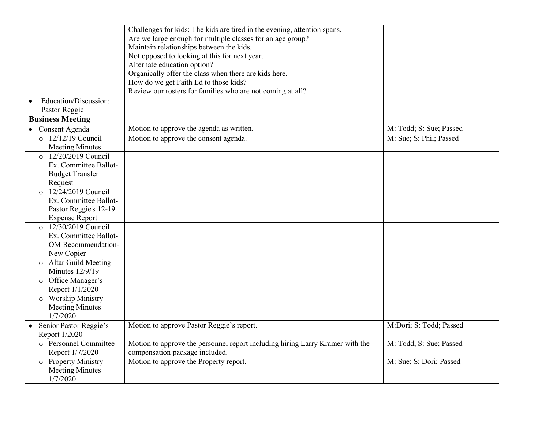|                                       | Challenges for kids: The kids are tired in the evening, attention spans.      |                         |
|---------------------------------------|-------------------------------------------------------------------------------|-------------------------|
|                                       | Are we large enough for multiple classes for an age group?                    |                         |
|                                       | Maintain relationships between the kids.                                      |                         |
|                                       | Not opposed to looking at this for next year.                                 |                         |
|                                       | Alternate education option?                                                   |                         |
|                                       | Organically offer the class when there are kids here.                         |                         |
|                                       | How do we get Faith Ed to those kids?                                         |                         |
|                                       | Review our rosters for families who are not coming at all?                    |                         |
| Education/Discussion:                 |                                                                               |                         |
| Pastor Reggie                         |                                                                               |                         |
| <b>Business Meeting</b>               |                                                                               |                         |
| • Consent Agenda                      | Motion to approve the agenda as written.                                      | M: Todd; S: Sue; Passed |
| $\circ$ 12/12/19 Council              | Motion to approve the consent agenda.                                         | M: Sue; S: Phil; Passed |
| <b>Meeting Minutes</b>                |                                                                               |                         |
| 12/20/2019 Council<br>$\Omega$        |                                                                               |                         |
| Ex. Committee Ballot-                 |                                                                               |                         |
| <b>Budget Transfer</b>                |                                                                               |                         |
| Request                               |                                                                               |                         |
| 12/24/2019 Council                    |                                                                               |                         |
| Ex. Committee Ballot-                 |                                                                               |                         |
| Pastor Reggie's 12-19                 |                                                                               |                         |
| <b>Expense Report</b>                 |                                                                               |                         |
| 12/30/2019 Council<br>$\circ$         |                                                                               |                         |
| Ex. Committee Ballot-                 |                                                                               |                         |
| OM Recommendation-                    |                                                                               |                         |
| New Copier                            |                                                                               |                         |
| <b>Altar Guild Meeting</b><br>$\circ$ |                                                                               |                         |
| <b>Minutes 12/9/19</b>                |                                                                               |                         |
| o Office Manager's                    |                                                                               |                         |
| Report 1/1/2020                       |                                                                               |                         |
| <b>Worship Ministry</b><br>$\circ$    |                                                                               |                         |
| <b>Meeting Minutes</b>                |                                                                               |                         |
| 1/7/2020                              |                                                                               |                         |
| • Senior Pastor Reggie's              | Motion to approve Pastor Reggie's report.                                     | M:Dori; S: Todd; Passed |
| Report 1/2020                         |                                                                               |                         |
| o Personnel Committee                 |                                                                               |                         |
|                                       | Motion to approve the personnel report including hiring Larry Kramer with the | M: Todd, S: Sue; Passed |
| Report 1/7/2020                       | compensation package included.                                                |                         |
| $\overline{\circ}$ Property Ministry  | Motion to approve the Property report.                                        | M: Sue; S: Dori; Passed |
| <b>Meeting Minutes</b>                |                                                                               |                         |
| 1/7/2020                              |                                                                               |                         |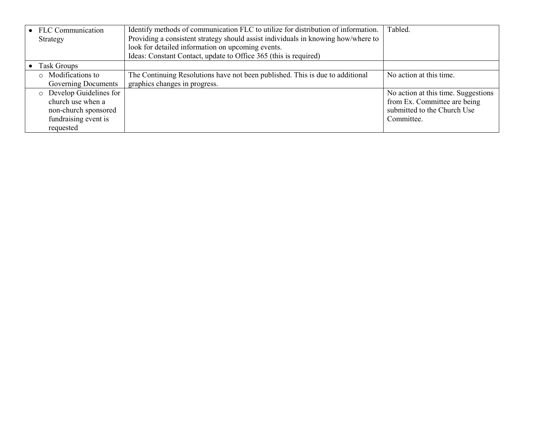| • FLC Communication      | Identify methods of communication FLC to utilize for distribution of information. | Tabled.                             |
|--------------------------|-----------------------------------------------------------------------------------|-------------------------------------|
| Strategy                 | Providing a consistent strategy should assist individuals in knowing how/where to |                                     |
|                          | look for detailed information on upcoming events.                                 |                                     |
|                          | Ideas: Constant Contact, update to Office 365 (this is required)                  |                                     |
| Task Groups              |                                                                                   |                                     |
| o Modifications to       | The Continuing Resolutions have not been published. This is due to additional     | No action at this time.             |
| Governing Documents      | graphics changes in progress.                                                     |                                     |
| o Develop Guidelines for |                                                                                   | No action at this time. Suggestions |
| church use when a        |                                                                                   | from Ex. Committee are being        |
| non-church sponsored     |                                                                                   | submitted to the Church Use         |
| fundraising event is     |                                                                                   | Committee.                          |
| requested                |                                                                                   |                                     |